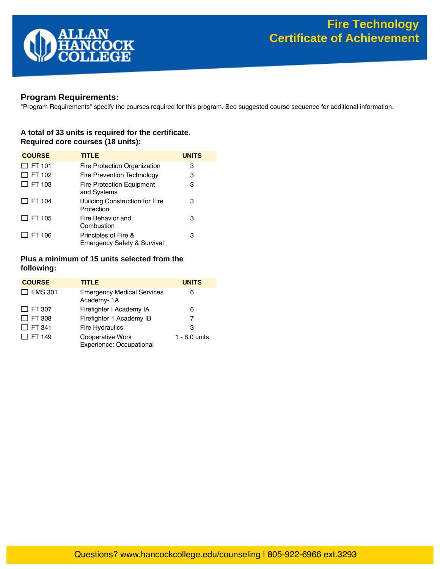

# **Program Requirements:**

"Program Requirements" specify the courses required for this program. See suggested course sequence for additional information.

## **A total of 33 units is required for the certificate. Required core courses (18 units):**

| <b>COURSE</b> | <b>TITLE</b>                                        | <b>UNITS</b> |
|---------------|-----------------------------------------------------|--------------|
| $\Box$ FT 101 | Fire Protection Organization                        | 3            |
| $\Box$ FT 102 | Fire Prevention Technology                          | 3            |
| $\Box$ FT 103 | <b>Fire Protection Equipment</b><br>and Systems     | 3            |
| $\Box$ FT 104 | <b>Building Construction for Fire</b><br>Protection | 3            |
| $\Box$ FT 105 | Fire Behavior and<br>Combustion                     | з            |
| $\Box$ FT 106 | Principles of Fire &<br>Emergency Safety & Survival | з            |

## **Plus a minimum of 15 units selected from the following:**

| <b>COURSE</b>  | <b>TITLE</b>                                    | <b>UNITS</b>  |
|----------------|-------------------------------------------------|---------------|
| $\Box$ EMS 301 | <b>Emergency Medical Services</b><br>Academy-1A | 6             |
| $\Box$ FT 307  | Firefighter I Academy IA                        | 6             |
| $\Box$ FT 308  | Firefighter 1 Academy IB                        | 7             |
| $\Box$ FT 341  | <b>Fire Hydraulics</b>                          | 3             |
| $\Box$ FT 149  | Cooperative Work<br>Experience: Occupational    | 1 - 8.0 units |